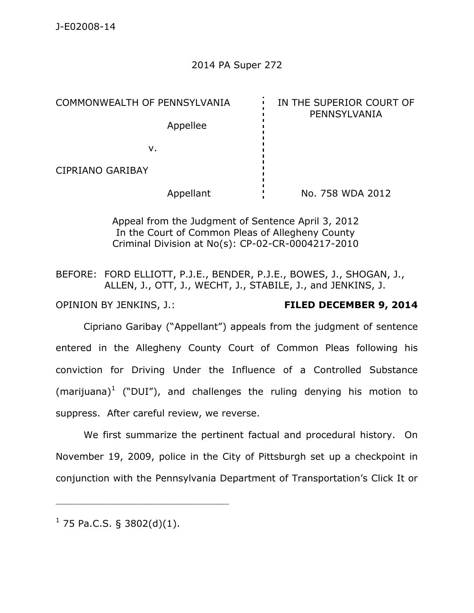# 2014 PA Super 272

COMMONWEALTH OF PENNSYLVANIA **IN THE SUPERIOR COURT OF** PENNSYLVANIA Appellee v. CIPRIANO GARIBAY Appellant No. 758 WDA 2012

> Appeal from the Judgment of Sentence April 3, 2012 In the Court of Common Pleas of Allegheny County Criminal Division at No(s): CP-02-CR-0004217-2010

BEFORE: FORD ELLIOTT, P.J.E., BENDER, P.J.E., BOWES, J., SHOGAN, J., ALLEN, J., OTT, J., WECHT, J., STABILE, J., and JENKINS, J.

### OPINION BY JENKINS, J.: **FILED DECEMBER 9, 2014**

Cipriano Garibay ("Appellant") appeals from the judgment of sentence entered in the Allegheny County Court of Common Pleas following his conviction for Driving Under the Influence of a Controlled Substance (marijuana)<sup>1</sup> ("DUI"), and challenges the ruling denying his motion to suppress. After careful review, we reverse.

We first summarize the pertinent factual and procedural history. On November 19, 2009, police in the City of Pittsburgh set up a checkpoint in conjunction with the Pennsylvania Department of Transportation's Click It or

 $^1$  75 Pa.C.S. § 3802(d)(1).

\_\_\_\_\_\_\_\_\_\_\_\_\_\_\_\_\_\_\_\_\_\_\_\_\_\_\_\_\_\_\_\_\_\_\_\_\_\_\_\_\_\_\_\_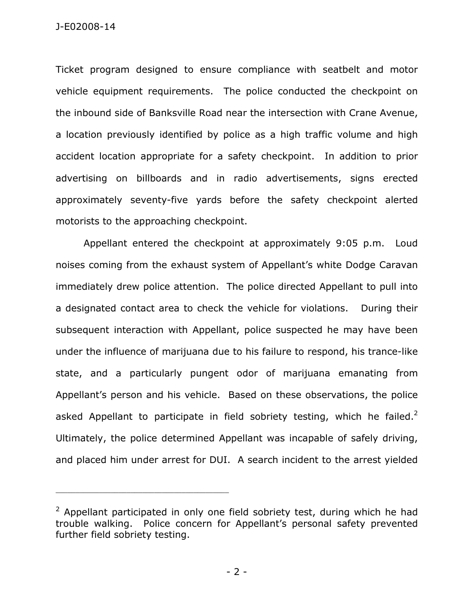J-E02008-14

Ticket program designed to ensure compliance with seatbelt and motor vehicle equipment requirements. The police conducted the checkpoint on the inbound side of Banksville Road near the intersection with Crane Avenue, a location previously identified by police as a high traffic volume and high accident location appropriate for a safety checkpoint. In addition to prior advertising on billboards and in radio advertisements, signs erected approximately seventy-five yards before the safety checkpoint alerted motorists to the approaching checkpoint.

Appellant entered the checkpoint at approximately 9:05 p.m. Loud noises coming from the exhaust system of Appellant's white Dodge Caravan immediately drew police attention. The police directed Appellant to pull into a designated contact area to check the vehicle for violations. During their subsequent interaction with Appellant, police suspected he may have been under the influence of marijuana due to his failure to respond, his trance-like state, and a particularly pungent odor of marijuana emanating from Appellant's person and his vehicle. Based on these observations, the police asked Appellant to participate in field sobriety testing, which he failed.<sup>2</sup> Ultimately, the police determined Appellant was incapable of safely driving, and placed him under arrest for DUI. A search incident to the arrest yielded

\_\_\_\_\_\_\_\_\_\_\_\_\_\_\_\_\_\_\_\_\_\_\_\_\_\_\_\_\_\_\_\_\_\_\_\_\_\_\_\_\_\_\_\_

<sup>&</sup>lt;sup>2</sup> Appellant participated in only one field sobriety test, during which he had trouble walking. Police concern for Appellant's personal safety prevented further field sobriety testing.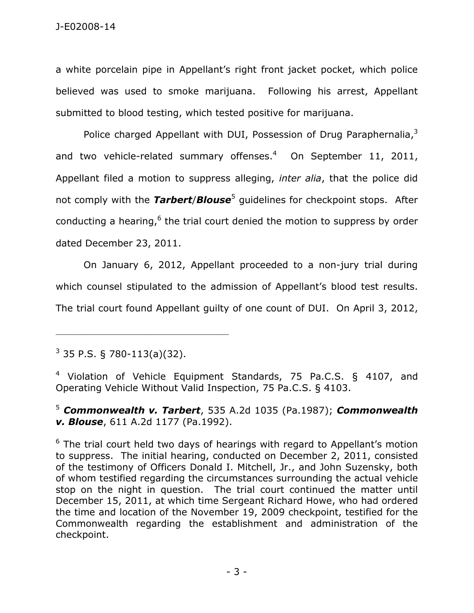a white porcelain pipe in Appellant's right front jacket pocket, which police believed was used to smoke marijuana. Following his arrest, Appellant submitted to blood testing, which tested positive for marijuana.

Police charged Appellant with DUI, Possession of Drug Paraphernalia,<sup>3</sup> and two vehicle-related summary offenses.<sup>4</sup> On September 11, 2011, Appellant filed a motion to suppress alleging, *inter alia*, that the police did not comply with the *Tarbert/Blouse*<sup>5</sup> guidelines for checkpoint stops. After conducting a hearing, $6$  the trial court denied the motion to suppress by order dated December 23, 2011.

On January 6, 2012, Appellant proceeded to a non-jury trial during which counsel stipulated to the admission of Appellant's blood test results. The trial court found Appellant guilty of one count of DUI. On April 3, 2012,

 $^3$  35 P.S. § 780-113(a)(32).

\_\_\_\_\_\_\_\_\_\_\_\_\_\_\_\_\_\_\_\_\_\_\_\_\_\_\_\_\_\_\_\_\_\_\_\_\_\_\_\_\_\_\_\_

<sup>4</sup> Violation of Vehicle Equipment Standards, 75 Pa.C.S. § 4107, and Operating Vehicle Without Valid Inspection, 75 Pa.C.S. § 4103.

<sup>5</sup> *Commonwealth v. Tarbert*, 535 A.2d 1035 (Pa.1987); *Commonwealth v. Blouse*, 611 A.2d 1177 (Pa.1992).

 $6$  The trial court held two days of hearings with regard to Appellant's motion to suppress. The initial hearing, conducted on December 2, 2011, consisted of the testimony of Officers Donald I. Mitchell, Jr., and John Suzensky, both of whom testified regarding the circumstances surrounding the actual vehicle stop on the night in question. The trial court continued the matter until December 15, 2011, at which time Sergeant Richard Howe, who had ordered the time and location of the November 19, 2009 checkpoint, testified for the Commonwealth regarding the establishment and administration of the checkpoint.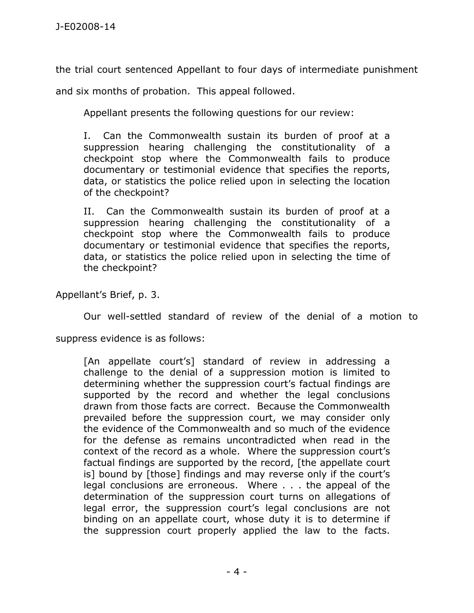the trial court sentenced Appellant to four days of intermediate punishment

and six months of probation. This appeal followed.

Appellant presents the following questions for our review:

I. Can the Commonwealth sustain its burden of proof at a suppression hearing challenging the constitutionality of a checkpoint stop where the Commonwealth fails to produce documentary or testimonial evidence that specifies the reports, data, or statistics the police relied upon in selecting the location of the checkpoint?

II. Can the Commonwealth sustain its burden of proof at a suppression hearing challenging the constitutionality of a checkpoint stop where the Commonwealth fails to produce documentary or testimonial evidence that specifies the reports, data, or statistics the police relied upon in selecting the time of the checkpoint?

Appellant's Brief, p. 3.

Our well-settled standard of review of the denial of a motion to

suppress evidence is as follows:

[An appellate court's] standard of review in addressing a challenge to the denial of a suppression motion is limited to determining whether the suppression court's factual findings are supported by the record and whether the legal conclusions drawn from those facts are correct. Because the Commonwealth prevailed before the suppression court, we may consider only the evidence of the Commonwealth and so much of the evidence for the defense as remains uncontradicted when read in the context of the record as a whole. Where the suppression court's factual findings are supported by the record, [the appellate court is] bound by [those] findings and may reverse only if the court's legal conclusions are erroneous. Where . . . the appeal of the determination of the suppression court turns on allegations of legal error, the suppression court's legal conclusions are not binding on an appellate court, whose duty it is to determine if the suppression court properly applied the law to the facts.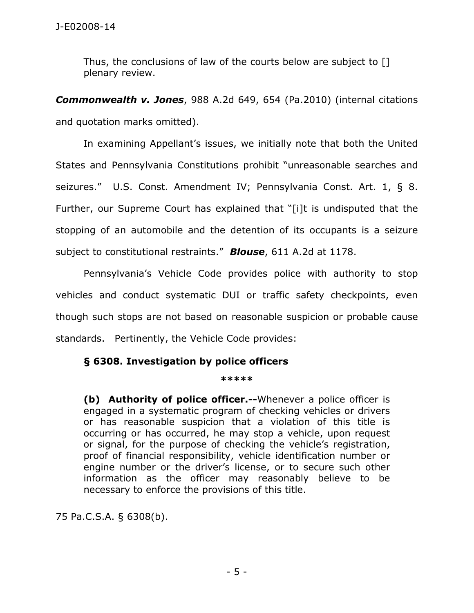Thus, the conclusions of law of the courts below are subject to [] plenary review.

*Commonwealth v. Jones*, 988 A.2d 649, 654 (Pa.2010) (internal citations and quotation marks omitted).

 In examining Appellant's issues, we initially note that both the United States and Pennsylvania Constitutions prohibit "unreasonable searches and seizures." U.S. Const. Amendment IV; Pennsylvania Const. Art. 1, § 8. Further, our Supreme Court has explained that "[i]t is undisputed that the stopping of an automobile and the detention of its occupants is a seizure subject to constitutional restraints." *Blouse*, 611 A.2d at 1178.

Pennsylvania's Vehicle Code provides police with authority to stop vehicles and conduct systematic DUI or traffic safety checkpoints, even though such stops are not based on reasonable suspicion or probable cause standards. Pertinently, the Vehicle Code provides:

# **§ 6308. Investigation by police officers**

### **\*\*\*\*\***

**(b) Authority of police officer.--**Whenever a police officer is engaged in a systematic program of checking vehicles or drivers or has reasonable suspicion that a violation of this title is occurring or has occurred, he may stop a vehicle, upon request or signal, for the purpose of checking the vehicle's registration, proof of financial responsibility, vehicle identification number or engine number or the driver's license, or to secure such other information as the officer may reasonably believe to be necessary to enforce the provisions of this title.

75 Pa.C.S.A. § 6308(b).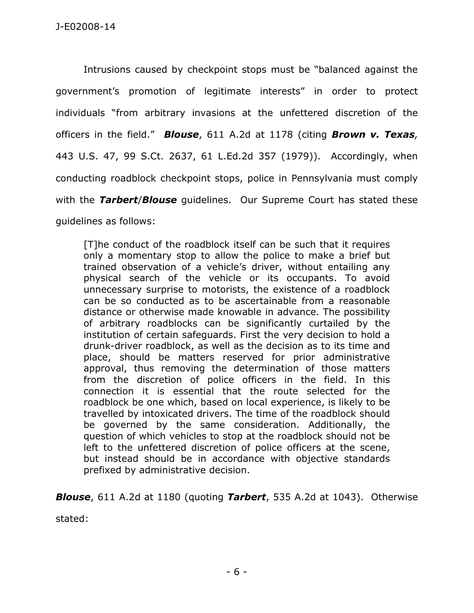Intrusions caused by checkpoint stops must be "balanced against the government's promotion of legitimate interests" in order to protect individuals "from arbitrary invasions at the unfettered discretion of the officers in the field." *Blouse*, 611 A.2d at 1178 (citing *Brown v. Texas,* 443 U.S. 47, 99 S.Ct. 2637, 61 L.Ed.2d 357 (1979)). Accordingly, when conducting roadblock checkpoint stops, police in Pennsylvania must comply with the *Tarbert*/*Blouse* guidelines. Our Supreme Court has stated these guidelines as follows:

[T]he conduct of the roadblock itself can be such that it requires only a momentary stop to allow the police to make a brief but trained observation of a vehicle's driver, without entailing any physical search of the vehicle or its occupants. To avoid unnecessary surprise to motorists, the existence of a roadblock can be so conducted as to be ascertainable from a reasonable distance or otherwise made knowable in advance. The possibility of arbitrary roadblocks can be significantly curtailed by the institution of certain safeguards. First the very decision to hold a drunk-driver roadblock, as well as the decision as to its time and place, should be matters reserved for prior administrative approval, thus removing the determination of those matters from the discretion of police officers in the field. In this connection it is essential that the route selected for the roadblock be one which, based on local experience, is likely to be travelled by intoxicated drivers. The time of the roadblock should be governed by the same consideration. Additionally, the question of which vehicles to stop at the roadblock should not be left to the unfettered discretion of police officers at the scene, but instead should be in accordance with objective standards prefixed by administrative decision.

*Blouse*, 611 A.2d at 1180 (quoting *Tarbert*, 535 A.2d at 1043). Otherwise

stated: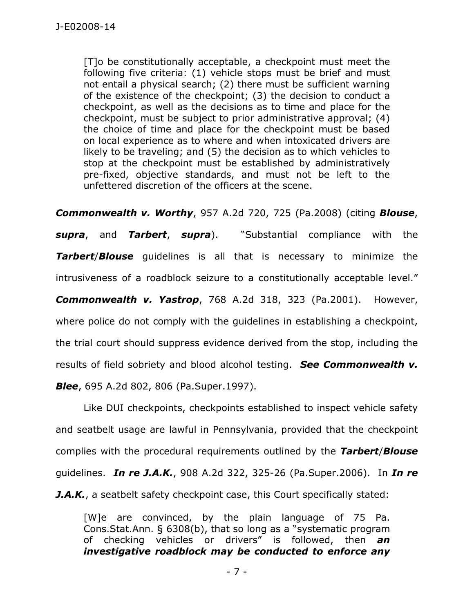[T]o be constitutionally acceptable, a checkpoint must meet the following five criteria: (1) vehicle stops must be brief and must not entail a physical search; (2) there must be sufficient warning of the existence of the checkpoint; (3) the decision to conduct a checkpoint, as well as the decisions as to time and place for the checkpoint, must be subject to prior administrative approval; (4) the choice of time and place for the checkpoint must be based on local experience as to where and when intoxicated drivers are likely to be traveling; and (5) the decision as to which vehicles to stop at the checkpoint must be established by administratively pre-fixed, objective standards, and must not be left to the unfettered discretion of the officers at the scene.

*Commonwealth v. Worthy*, 957 A.2d 720, 725 (Pa.2008) (citing *Blouse*, *supra*, and *Tarbert*, *supra*). "Substantial compliance with the *Tarbert*/*Blouse* guidelines is all that is necessary to minimize the intrusiveness of a roadblock seizure to a constitutionally acceptable level." *Commonwealth v. Yastrop*, 768 A.2d 318, 323 (Pa.2001). However, where police do not comply with the quidelines in establishing a checkpoint, the trial court should suppress evidence derived from the stop, including the results of field sobriety and blood alcohol testing. *See Commonwealth v. Blee*, 695 A.2d 802, 806 (Pa.Super.1997).

 Like DUI checkpoints, checkpoints established to inspect vehicle safety and seatbelt usage are lawful in Pennsylvania, provided that the checkpoint complies with the procedural requirements outlined by the *Tarbert*/*Blouse* guidelines. *In re J.A.K.*, 908 A.2d 322, 325-26 (Pa.Super.2006). In *In re J.A.K.*, a seatbelt safety checkpoint case, this Court specifically stated:

[W]e are convinced, by the plain language of 75 Pa. Cons.Stat.Ann. § 6308(b), that so long as a "systematic program of checking vehicles or drivers" is followed, then *an investigative roadblock may be conducted to enforce any*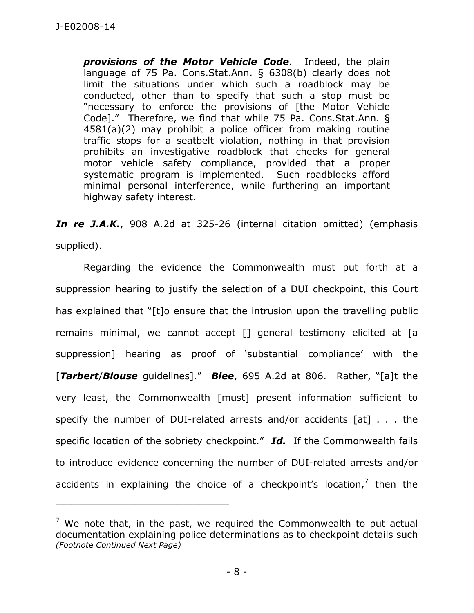*provisions of the Motor Vehicle Code*. Indeed, the plain language of 75 Pa. Cons.Stat.Ann. § 6308(b) clearly does not limit the situations under which such a roadblock may be conducted, other than to specify that such a stop must be "necessary to enforce the provisions of [the Motor Vehicle Code]." Therefore, we find that while 75 Pa. Cons.Stat.Ann. § 4581(a)(2) may prohibit a police officer from making routine traffic stops for a seatbelt violation, nothing in that provision prohibits an investigative roadblock that checks for general motor vehicle safety compliance, provided that a proper systematic program is implemented. Such roadblocks afford minimal personal interference, while furthering an important highway safety interest.

*In re J.A.K.*, 908 A.2d at 325-26 (internal citation omitted) (emphasis supplied).

 Regarding the evidence the Commonwealth must put forth at a suppression hearing to justify the selection of a DUI checkpoint, this Court has explained that "[t]o ensure that the intrusion upon the travelling public remains minimal, we cannot accept [] general testimony elicited at [a suppression] hearing as proof of 'substantial compliance' with the [*Tarbert*/*Blouse* guidelines]." *Blee*, 695 A.2d at 806. Rather, "[a]t the very least, the Commonwealth [must] present information sufficient to specify the number of DUI-related arrests and/or accidents [at] . . . the specific location of the sobriety checkpoint." *Id.* If the Commonwealth fails to introduce evidence concerning the number of DUI-related arrests and/or accidents in explaining the choice of a checkpoint's location, $<sup>7</sup>$  then the</sup>

\_\_\_\_\_\_\_\_\_\_\_\_\_\_\_\_\_\_\_\_\_\_\_\_\_\_\_\_\_\_\_\_\_\_\_\_\_\_\_\_\_\_\_\_

 $7$  We note that, in the past, we required the Commonwealth to put actual documentation explaining police determinations as to checkpoint details such *(Footnote Continued Next Page)*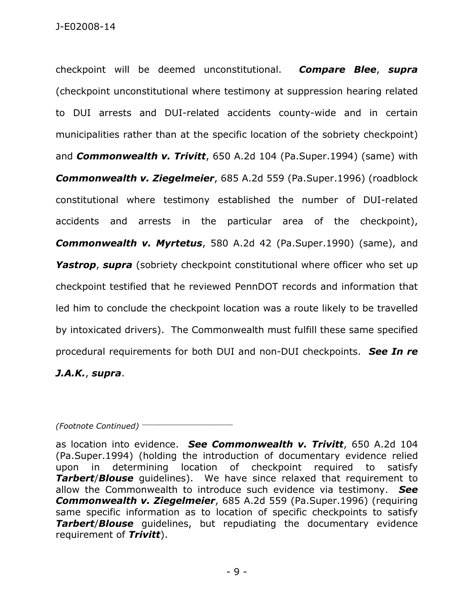checkpoint will be deemed unconstitutional. *Compare Blee*, *supra* (checkpoint unconstitutional where testimony at suppression hearing related to DUI arrests and DUI-related accidents county-wide and in certain municipalities rather than at the specific location of the sobriety checkpoint) and *Commonwealth v. Trivitt*, 650 A.2d 104 (Pa.Super.1994) (same) with *Commonwealth v. Ziegelmeier*, 685 A.2d 559 (Pa.Super.1996) (roadblock constitutional where testimony established the number of DUI-related accidents and arrests in the particular area of the checkpoint), *Commonwealth v. Myrtetus*, 580 A.2d 42 (Pa.Super.1990) (same), and **Yastrop, supra** (sobriety checkpoint constitutional where officer who set up checkpoint testified that he reviewed PennDOT records and information that led him to conclude the checkpoint location was a route likely to be travelled by intoxicated drivers). The Commonwealth must fulfill these same specified procedural requirements for both DUI and non-DUI checkpoints. *See In re* 

# *J.A.K.*, *supra*.

*(Footnote Continued)* \_\_\_\_\_\_\_\_\_\_\_\_\_\_\_\_\_\_\_\_\_\_\_

as location into evidence. *See Commonwealth v. Trivitt*, 650 A.2d 104 (Pa.Super.1994) (holding the introduction of documentary evidence relied upon in determining location of checkpoint required to satisfy **Tarbert/Blouse** quidelines). We have since relaxed that requirement to allow the Commonwealth to introduce such evidence via testimony. *See Commonwealth v. Ziegelmeier*, 685 A.2d 559 (Pa.Super.1996) (requiring same specific information as to location of specific checkpoints to satisfy *Tarbert*/*Blouse* guidelines, but repudiating the documentary evidence requirement of *Trivitt*).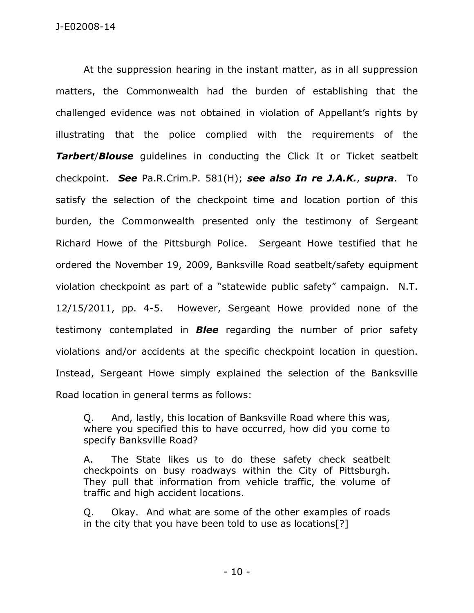At the suppression hearing in the instant matter, as in all suppression matters, the Commonwealth had the burden of establishing that the challenged evidence was not obtained in violation of Appellant's rights by illustrating that the police complied with the requirements of the **Tarbert/Blouse** guidelines in conducting the Click It or Ticket seatbelt checkpoint. *See* Pa.R.Crim.P. 581(H); *see also In re J.A.K.*, *supra*. To satisfy the selection of the checkpoint time and location portion of this burden, the Commonwealth presented only the testimony of Sergeant Richard Howe of the Pittsburgh Police. Sergeant Howe testified that he ordered the November 19, 2009, Banksville Road seatbelt/safety equipment violation checkpoint as part of a "statewide public safety" campaign. N.T. 12/15/2011, pp. 4-5. However, Sergeant Howe provided none of the testimony contemplated in *Blee* regarding the number of prior safety violations and/or accidents at the specific checkpoint location in question. Instead, Sergeant Howe simply explained the selection of the Banksville Road location in general terms as follows:

Q. And, lastly, this location of Banksville Road where this was, where you specified this to have occurred, how did you come to specify Banksville Road?

A. The State likes us to do these safety check seatbelt checkpoints on busy roadways within the City of Pittsburgh. They pull that information from vehicle traffic, the volume of traffic and high accident locations.

Q. Okay. And what are some of the other examples of roads in the city that you have been told to use as locations[?]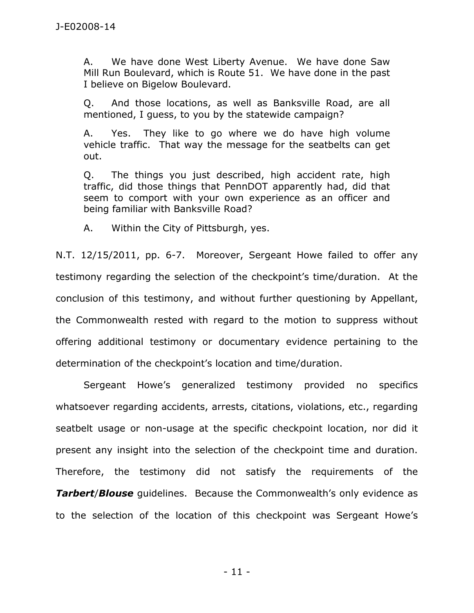A. We have done West Liberty Avenue. We have done Saw Mill Run Boulevard, which is Route 51. We have done in the past I believe on Bigelow Boulevard.

Q. And those locations, as well as Banksville Road, are all mentioned, I guess, to you by the statewide campaign?

A. Yes. They like to go where we do have high volume vehicle traffic. That way the message for the seatbelts can get out.

Q. The things you just described, high accident rate, high traffic, did those things that PennDOT apparently had, did that seem to comport with your own experience as an officer and being familiar with Banksville Road?

A. Within the City of Pittsburgh, yes.

N.T. 12/15/2011, pp. 6-7. Moreover, Sergeant Howe failed to offer any testimony regarding the selection of the checkpoint's time/duration. At the conclusion of this testimony, and without further questioning by Appellant, the Commonwealth rested with regard to the motion to suppress without offering additional testimony or documentary evidence pertaining to the determination of the checkpoint's location and time/duration.

Sergeant Howe's generalized testimony provided no specifics whatsoever regarding accidents, arrests, citations, violations, etc., regarding seatbelt usage or non-usage at the specific checkpoint location, nor did it present any insight into the selection of the checkpoint time and duration. Therefore, the testimony did not satisfy the requirements of the **Tarbert/Blouse** guidelines. Because the Commonwealth's only evidence as to the selection of the location of this checkpoint was Sergeant Howe's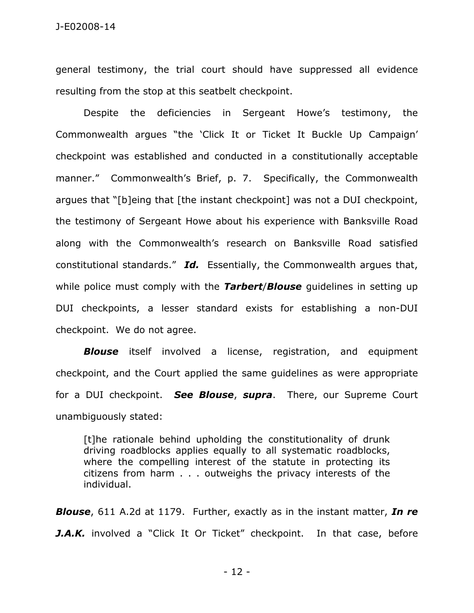general testimony, the trial court should have suppressed all evidence resulting from the stop at this seatbelt checkpoint.

 Despite the deficiencies in Sergeant Howe's testimony, the Commonwealth argues "the 'Click It or Ticket It Buckle Up Campaign' checkpoint was established and conducted in a constitutionally acceptable manner." Commonwealth's Brief, p. 7. Specifically, the Commonwealth argues that "[b]eing that [the instant checkpoint] was not a DUI checkpoint, the testimony of Sergeant Howe about his experience with Banksville Road along with the Commonwealth's research on Banksville Road satisfied constitutional standards." *Id.* Essentially, the Commonwealth argues that, while police must comply with the *Tarbert*/*Blouse* guidelines in setting up DUI checkpoints, a lesser standard exists for establishing a non-DUI checkpoint. We do not agree.

*Blouse* itself involved a license, registration, and equipment checkpoint, and the Court applied the same guidelines as were appropriate for a DUI checkpoint. *See Blouse*, *supra*. There, our Supreme Court unambiguously stated:

[t]he rationale behind upholding the constitutionality of drunk driving roadblocks applies equally to all systematic roadblocks, where the compelling interest of the statute in protecting its citizens from harm . . . outweighs the privacy interests of the individual.

*Blouse*, 611 A.2d at 1179. Further, exactly as in the instant matter, *In re*  **J.A.K.** involved a "Click It Or Ticket" checkpoint. In that case, before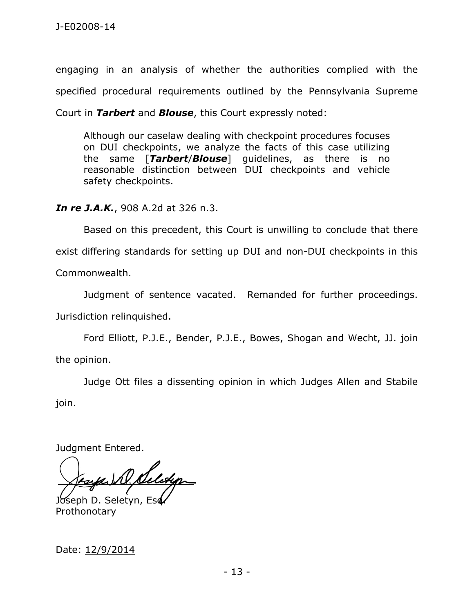engaging in an analysis of whether the authorities complied with the specified procedural requirements outlined by the Pennsylvania Supreme Court in *Tarbert* and *Blouse*, this Court expressly noted:

Although our caselaw dealing with checkpoint procedures focuses on DUI checkpoints, we analyze the facts of this case utilizing the same [*Tarbert*/*Blouse*] guidelines, as there is no reasonable distinction between DUI checkpoints and vehicle safety checkpoints.

*In re J.A.K.*, 908 A.2d at 326 n.3.

Based on this precedent, this Court is unwilling to conclude that there exist differing standards for setting up DUI and non-DUI checkpoints in this

Commonwealth.

 Judgment of sentence vacated. Remanded for further proceedings. Jurisdiction relinquished.

Ford Elliott, P.J.E., Bender, P.J.E., Bowes, Shogan and Wecht, JJ. join the opinion.

Judge Ott files a dissenting opinion in which Judges Allen and Stabile join.

Judgment Entered.

Joseph D. Seletyn, Eso Prothonotary

Date: 12/9/2014